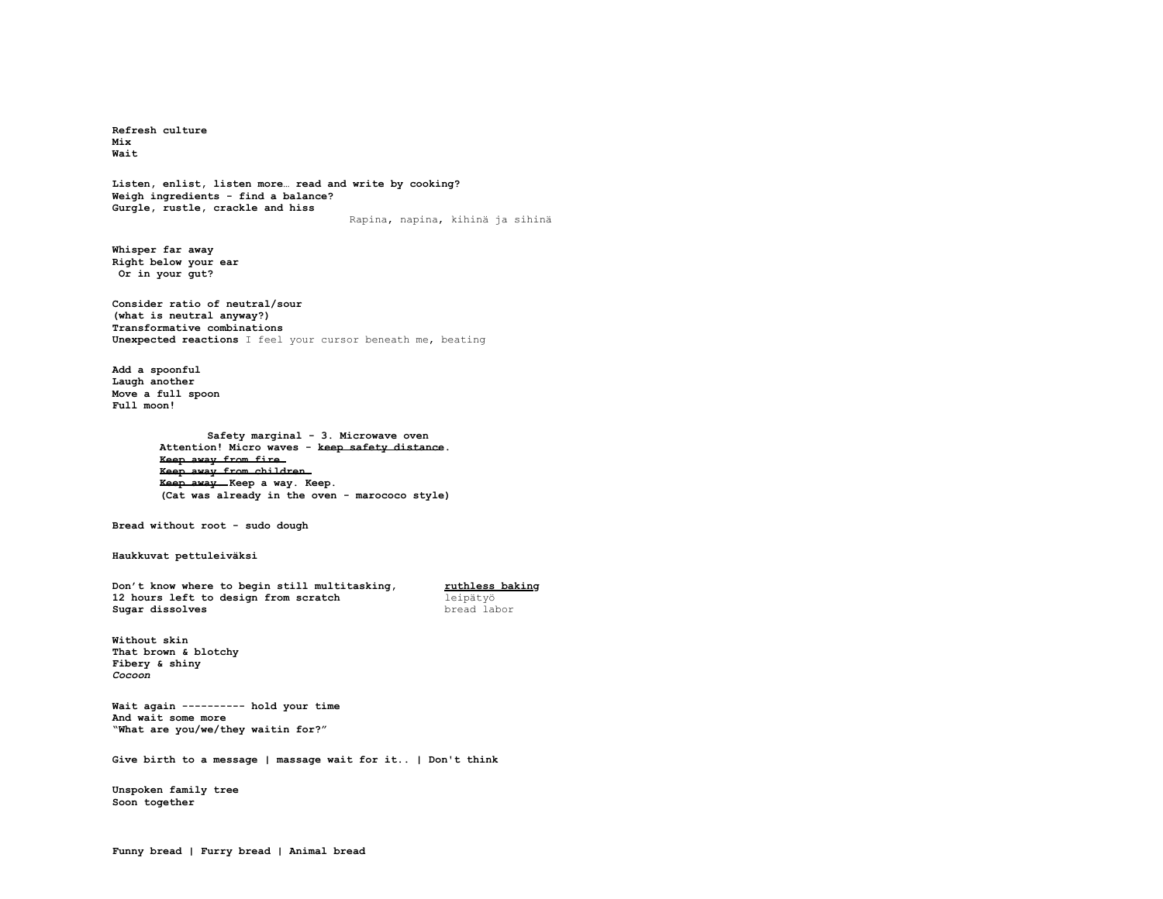**Refresh culture Mix Wait**

**Listen, enlist, listen more… read and write by cooking? Weigh ingredients - find a balance? Gurgle, rustle, crackle and hiss** Rapina, napina, kihinä ja sihinä

**Whisper far away Right below your ear Or in your gut?**

**Consider ratio of neutral/sour (what is neutral anyway?) Transformative combinations Unexpected reactions** I feel your cursor beneath me, beating

**Add a spoonful Laugh another Move a full spoon Full moon!**

> **Safety marginal - 3. Microwave oven Attention! Micro waves - keep safety distance. Keep away from fire. Keep away from children. Keep away. Keep a way. Keep. (Cat was already in the oven - marococo style)**

**Bread without root - sudo dough**

**Haukkuvat pettuleiväksi**

**Don't know where to begin still multitasking, and the multities baking** 12 hours left to design from scratch and leipätyö **12 hours left to design from scratch leipätyö Sugar dissolves bread** labor **Sugar dissolves** 

**Without skin That brown & blotchy Fibery & shiny** *Cocoon*

**Wait again ---------- hold your time And wait some more "What are you/we/they waitin for?"**

**Give birth to a message | massage wait for it.. | Don't think**

**Unspoken family tree Soon together**